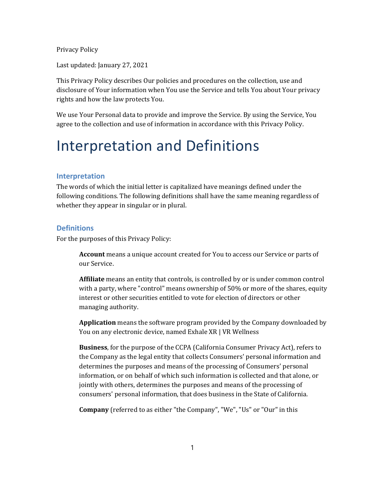Privacy Policy

Last updated: January 27, 2021

This Privacy Policy describes Our policies and procedures on the collection, use and disclosure of Your information when You use the Service and tells You about Your privacy rights and how the law protects You.

We use Your Personal data to provide and improve the Service. By using the Service, You agree to the collection and use of information in accordance with this Privacy Policy.

# Interpretation and Definitions

#### **Interpretation**

The words of which the initial letter is capitalized have meanings defined under the following conditions. The following definitions shall have the same meaning regardless of whether they appear in singular or in plural.

# **Definitions**

For the purposes of this Privacy Policy:

**Account** means a unique account created for You to access our Service or parts of our Service.

**Affiliate** means an entity that controls, is controlled by or is under common control with a party, where "control" means ownership of 50% or more of the shares, equity interest or other securities entitled to vote for election of directors or other managing authority.

**Application** means the software program provided by the Company downloaded by You on any electronic device, named Exhale XR | VR Wellness

**Business**, for the purpose of the CCPA (California Consumer Privacy Act), refers to the Company as the legal entity that collects Consumers' personal information and determines the purposes and means of the processing of Consumers' personal information, or on behalf of which such information is collected and that alone, or jointly with others, determines the purposes and means of the processing of consumers' personal information, that does business in the State of California.

**Company** (referred to as either "the Company", "We", "Us" or "Our" in this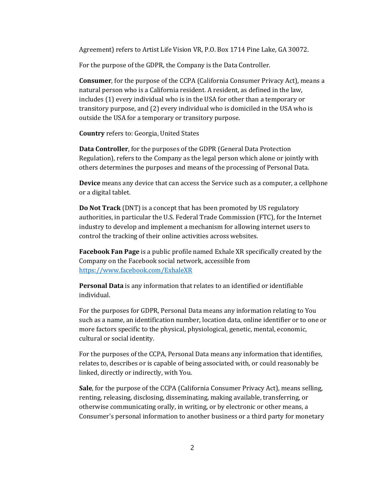Agreement) refers to Artist Life Vision VR, P.O. Box 1714 Pine Lake, GA 30072.

For the purpose of the GDPR, the Company is the Data Controller.

**Consumer**, for the purpose of the CCPA (California Consumer Privacy Act), means a natural person who is a California resident. A resident, as defined in the law, includes (1) every individual who is in the USA for other than a temporary or transitory purpose, and (2) every individual who is domiciled in the USA who is outside the USA for a temporary or transitory purpose.

**Country** refers to: Georgia, United States

**Data Controller**, for the purposes of the GDPR (General Data Protection Regulation), refers to the Company as the legal person which alone or jointly with others determines the purposes and means of the processing of Personal Data.

**Device** means any device that can access the Service such as a computer, a cellphone or a digital tablet.

**Do Not Track** (DNT) is a concept that has been promoted by US regulatory authorities, in particular the U.S. Federal Trade Commission (FTC), for the Internet industry to develop and implement a mechanism for allowing internet users to control the tracking of their online activities across websites.

**Facebook Fan Page** is a public profile named Exhale XR specifically created by the Company on the Facebook social network, accessible from https://www.facebook.com/ExhaleXR

**Personal Data** is any information that relates to an identified or identifiable individual.

For the purposes for GDPR, Personal Data means any information relating to You such as a name, an identification number, location data, online identifier or to one or more factors specific to the physical, physiological, genetic, mental, economic, cultural or social identity.

For the purposes of the CCPA, Personal Data means any information that identifies, relates to, describes or is capable of being associated with, or could reasonably be linked, directly or indirectly, with You.

**Sale**, for the purpose of the CCPA (California Consumer Privacy Act), means selling, renting, releasing, disclosing, disseminating, making available, transferring, or otherwise communicating orally, in writing, or by electronic or other means, a Consumer's personal information to another business or a third party for monetary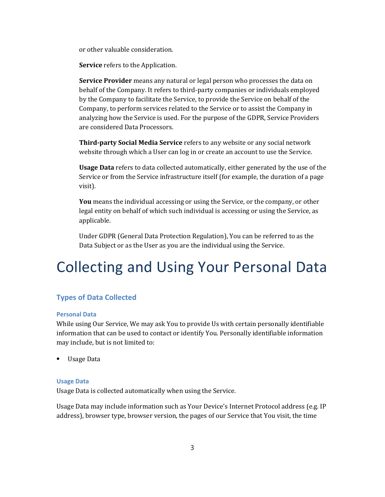or other valuable consideration.

**Service** refers to the Application.

**Service Provider** means any natural or legal person who processes the data on behalf of the Company. It refers to third-party companies or individuals employed by the Company to facilitate the Service, to provide the Service on behalf of the Company, to perform services related to the Service or to assist the Company in analyzing how the Service is used. For the purpose of the GDPR, Service Providers are considered Data Processors.

**Third‐party Social Media Service** refers to any website or any social network website through which a User can log in or create an account to use the Service.

**Usage Data** refers to data collected automatically, either generated by the use of the Service or from the Service infrastructure itself (for example, the duration of a page visit).

**You** means the individual accessing or using the Service, or the company, or other legal entity on behalf of which such individual is accessing or using the Service, as applicable.

Under GDPR (General Data Protection Regulation), You can be referred to as the Data Subject or as the User as you are the individual using the Service.

# Collecting and Using Your Personal Data

# **Types of Data Collected**

#### **Personal Data**

While using Our Service, We may ask You to provide Us with certain personally identifiable information that can be used to contact or identify You. Personally identifiable information may include, but is not limited to:

⦁ Usage Data

#### **Usage Data**

Usage Data is collected automatically when using the Service.

Usage Data may include information such as Your Device's Internet Protocol address (e.g. IP address), browser type, browser version, the pages of our Service that You visit, the time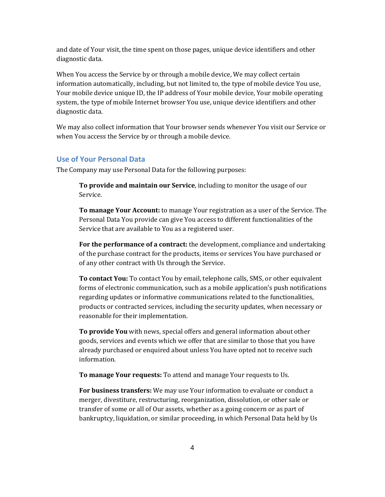and date of Your visit, the time spent on those pages, unique device identifiers and other diagnostic data.

When You access the Service by or through a mobile device, We may collect certain information automatically, including, but not limited to, the type of mobile device You use, Your mobile device unique ID, the IP address of Your mobile device, Your mobile operating system, the type of mobile Internet browser You use, unique device identifiers and other diagnostic data.

We may also collect information that Your browser sends whenever You visit our Service or when You access the Service by or through a mobile device.

#### **Use of Your Personal Data**

The Company may use Personal Data for the following purposes:

**To provide and maintain our Service**, including to monitor the usage of our Service.

**To manage Your Account:** to manage Your registration as a user of the Service. The Personal Data You provide can give You access to different functionalities of the Service that are available to You as a registered user.

**For the performance of a contract:** the development, compliance and undertaking of the purchase contract for the products, items or services You have purchased or of any other contract with Us through the Service.

**To contact You:** To contact You by email, telephone calls, SMS, or other equivalent forms of electronic communication, such as a mobile application's push notifications regarding updates or informative communications related to the functionalities, products or contracted services, including the security updates, when necessary or reasonable for their implementation.

**To provide You** with news, special offers and general information about other goods, services and events which we offer that are similar to those that you have already purchased or enquired about unless You have opted not to receive such information.

**To manage Your requests:** To attend and manage Your requests to Us.

**For business transfers:** We may use Your information to evaluate or conduct a merger, divestiture, restructuring, reorganization, dissolution, or other sale or transfer of some or all of Our assets, whether as a going concern or as part of bankruptcy, liquidation, or similar proceeding, in which Personal Data held by Us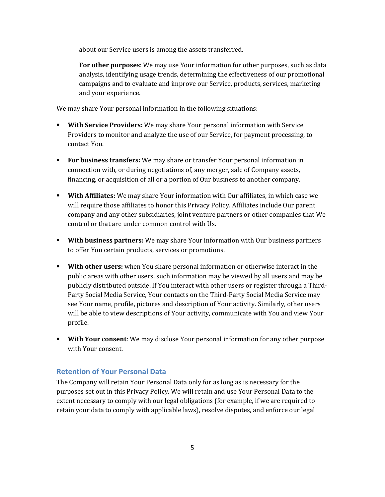about our Service users is among the assets transferred.

**For other purposes**: We may use Your information for other purposes, such as data analysis, identifying usage trends, determining the effectiveness of our promotional campaigns and to evaluate and improve our Service, products, services, marketing and your experience.

We may share Your personal information in the following situations:

- ⦁ **With Service Providers:** We may share Your personal information with Service Providers to monitor and analyze the use of our Service, for payment processing, to contact You.
- ⦁ **For business transfers:** We may share or transfer Your personal information in connection with, or during negotiations of, any merger, sale of Company assets, financing, or acquisition of all or a portion of Our business to another company.
- ⦁ **With Affiliates:** We may share Your information with Our affiliates, in which case we will require those affiliates to honor this Privacy Policy. Affiliates include Our parent company and any other subsidiaries, joint venture partners or other companies that We control or that are under common control with Us.
- ⦁ **With business partners:** We may share Your information with Our business partners to offer You certain products, services or promotions.
- ⦁ **With other users:** when You share personal information or otherwise interact in the public areas with other users, such information may be viewed by all users and may be publicly distributed outside. If You interact with other users or register through a Third-Party Social Media Service, Your contacts on the Third-Party Social Media Service may see Your name, profile, pictures and description of Your activity. Similarly, other users will be able to view descriptions of Your activity, communicate with You and view Your profile.
- ⦁ **With Your consent**: We may disclose Your personal information for any other purpose with Your consent.

#### **Retention of Your Personal Data**

The Company will retain Your Personal Data only for as long as is necessary for the purposes set out in this Privacy Policy. We will retain and use Your Personal Data to the extent necessary to comply with our legal obligations (for example, if we are required to retain your data to comply with applicable laws), resolve disputes, and enforce our legal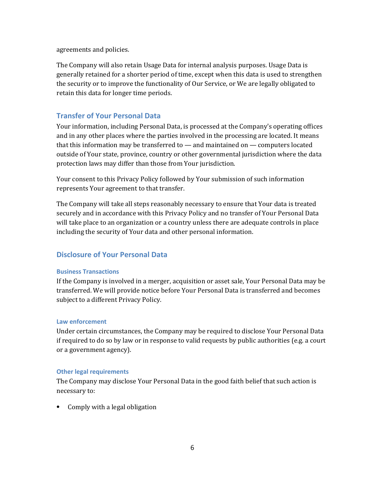agreements and policies.

The Company will also retain Usage Data for internal analysis purposes. Usage Data is generally retained for a shorter period of time, except when this data is used to strengthen the security or to improve the functionality of Our Service, or We are legally obligated to retain this data for longer time periods.

# **Transfer of Your Personal Data**

Your information, including Personal Data, is processed at the Company's operating offices and in any other places where the parties involved in the processing are located. It means that this information may be transferred to — and maintained on — computers located outside of Your state, province, country or other governmental jurisdiction where the data protection laws may differ than those from Your jurisdiction.

Your consent to this Privacy Policy followed by Your submission of such information represents Your agreement to that transfer.

The Company will take all steps reasonably necessary to ensure that Your data is treated securely and in accordance with this Privacy Policy and no transfer of Your Personal Data will take place to an organization or a country unless there are adequate controls in place including the security of Your data and other personal information.

# **Disclosure of Your Personal Data**

#### **Business Transactions**

If the Company is involved in a merger, acquisition or asset sale, Your Personal Data may be transferred. We will provide notice before Your Personal Data is transferred and becomes subject to a different Privacy Policy.

## **Law enforcement**

Under certain circumstances, the Company may be required to disclose Your Personal Data if required to do so by law or in response to valid requests by public authorities (e.g. a court or a government agency).

#### **Other legal requirements**

The Company may disclose Your Personal Data in the good faith belief that such action is necessary to:

⦁ Comply with a legal obligation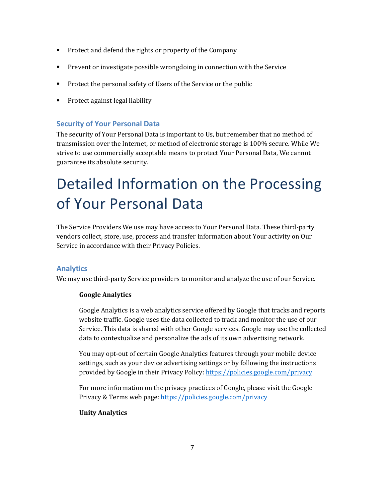- ⦁ Protect and defend the rights or property of the Company
- ⦁ Prevent or investigate possible wrongdoing in connection with the Service
- ⦁ Protect the personal safety of Users of the Service or the public
- ⦁ Protect against legal liability

# **Security of Your Personal Data**

The security of Your Personal Data is important to Us, but remember that no method of transmission over the Internet, or method of electronic storage is 100% secure. While We strive to use commercially acceptable means to protect Your Personal Data, We cannot guarantee its absolute security.

# Detailed Information on the Processing of Your Personal Data

The Service Providers We use may have access to Your Personal Data. These third-party vendors collect, store, use, process and transfer information about Your activity on Our Service in accordance with their Privacy Policies.

# **Analytics**

We may use third-party Service providers to monitor and analyze the use of our Service.

## **Google Analytics**

Google Analytics is a web analytics service offered by Google that tracks and reports website traffic. Google uses the data collected to track and monitor the use of our Service. This data is shared with other Google services. Google may use the collected data to contextualize and personalize the ads of its own advertising network.

You may opt-out of certain Google Analytics features through your mobile device settings, such as your device advertising settings or by following the instructions provided by Google in their Privacy Policy: https://policies.google.com/privacy

For more information on the privacy practices of Google, please visit the Google Privacy & Terms web page: https://policies.google.com/privacy

## **Unity Analytics**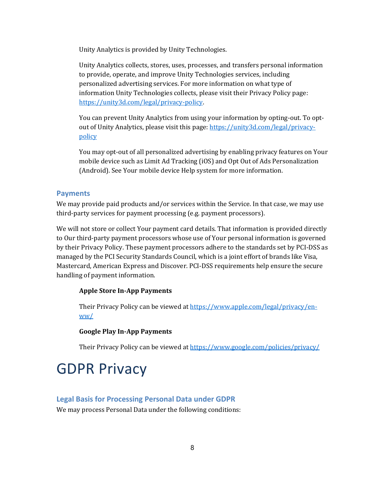Unity Analytics is provided by Unity Technologies.

Unity Analytics collects, stores, uses, processes, and transfers personal information to provide, operate, and improve Unity Technologies services, including personalized advertising services. For more information on what type of information Unity Technologies collects, please visit their Privacy Policy page: https://unity3d.com/legal/privacy-policy.

You can prevent Unity Analytics from using your information by opting-out. To optout of Unity Analytics, please visit this page: https://unity3d.com/legal/privacypolicy

You may opt-out of all personalized advertising by enabling privacy features on Your mobile device such as Limit Ad Tracking (iOS) and Opt Out of Ads Personalization (Android). See Your mobile device Help system for more information.

#### **Payments**

We may provide paid products and/or services within the Service. In that case, we may use third-party services for payment processing (e.g. payment processors).

We will not store or collect Your payment card details. That information is provided directly to Our third-party payment processors whose use of Your personal information is governed by their Privacy Policy. These payment processors adhere to the standards set by PCI-DSS as managed by the PCI Security Standards Council, which is a joint effort of brands like Visa, Mastercard, American Express and Discover. PCI-DSS requirements help ensure the secure handling of payment information.

#### **Apple Store In‐App Payments**

Their Privacy Policy can be viewed at https://www.apple.com/legal/privacy/enww/

#### **Google Play In‐App Payments**

Their Privacy Policy can be viewed at https://www.google.com/policies/privacy/

# GDPR Privacy

#### **Legal Basis for Processing Personal Data under GDPR**

We may process Personal Data under the following conditions: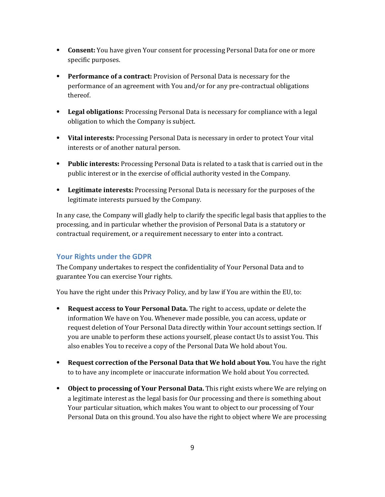- ⦁ **Consent:** You have given Your consent for processing Personal Data for one or more specific purposes.
- ⦁ **Performance of a contract:** Provision of Personal Data is necessary for the performance of an agreement with You and/or for any pre-contractual obligations thereof.
- ⦁ **Legal obligations:** Processing Personal Data is necessary for compliance with a legal obligation to which the Company is subject.
- ⦁ **Vital interests:** Processing Personal Data is necessary in order to protect Your vital interests or of another natural person.
- ⦁ **Public interests:** Processing Personal Data is related to a task that is carried out in the public interest or in the exercise of official authority vested in the Company.
- ⦁ **Legitimate interests:** Processing Personal Data is necessary for the purposes of the legitimate interests pursued by the Company.

In any case, the Company will gladly help to clarify the specific legal basis that applies to the processing, and in particular whether the provision of Personal Data is a statutory or contractual requirement, or a requirement necessary to enter into a contract.

# **Your Rights under the GDPR**

The Company undertakes to respect the confidentiality of Your Personal Data and to guarantee You can exercise Your rights.

You have the right under this Privacy Policy, and by law if You are within the EU, to:

- ⦁ **Request access to Your Personal Data.** The right to access, update or delete the information We have on You. Whenever made possible, you can access, update or request deletion of Your Personal Data directly within Your account settings section. If you are unable to perform these actions yourself, please contact Us to assist You. This also enables You to receive a copy of the Personal Data We hold about You.
- ⦁ **Request correction of the Personal Data that We hold about You.** You have the right to to have any incomplete or inaccurate information We hold about You corrected.
- ⦁ **Object to processing of Your Personal Data.** This right exists where We are relying on a legitimate interest as the legal basis for Our processing and there is something about Your particular situation, which makes You want to object to our processing of Your Personal Data on this ground. You also have the right to object where We are processing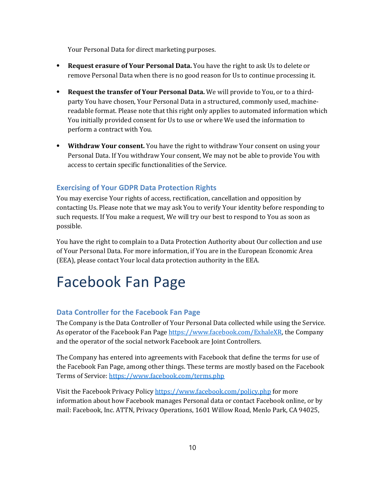Your Personal Data for direct marketing purposes.

- ⦁ **Request erasure of Your Personal Data.** You have the right to ask Us to delete or remove Personal Data when there is no good reason for Us to continue processing it.
- ⦁ **Request the transfer of Your Personal Data.** We will provide to You, or to a thirdparty You have chosen, Your Personal Data in a structured, commonly used, machinereadable format. Please note that this right only applies to automated information which You initially provided consent for Us to use or where We used the information to perform a contract with You.
- ⦁ **Withdraw Your consent.** You have the right to withdraw Your consent on using your Personal Data. If You withdraw Your consent, We may not be able to provide You with access to certain specific functionalities of the Service.

# **Exercising of Your GDPR Data Protection Rights**

You may exercise Your rights of access, rectification, cancellation and opposition by contacting Us. Please note that we may ask You to verify Your identity before responding to such requests. If You make a request, We will try our best to respond to You as soon as possible.

You have the right to complain to a Data Protection Authority about Our collection and use of Your Personal Data. For more information, if You are in the European Economic Area (EEA), please contact Your local data protection authority in the EEA.

# Facebook Fan Page

## **Data Controller for the Facebook Fan Page**

The Company is the Data Controller of Your Personal Data collected while using the Service. As operator of the Facebook Fan Page https://www.facebook.com/ExhaleXR, the Company and the operator of the social network Facebook are Joint Controllers.

The Company has entered into agreements with Facebook that define the terms for use of the Facebook Fan Page, among other things. These terms are mostly based on the Facebook Terms of Service: https://www.facebook.com/terms.php

Visit the Facebook Privacy Policy https://www.facebook.com/policy.php for more information about how Facebook manages Personal data or contact Facebook online, or by mail: Facebook, Inc. ATTN, Privacy Operations, 1601 Willow Road, Menlo Park, CA 94025,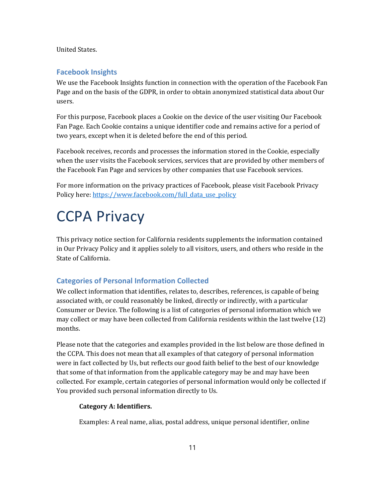United States.

#### **Facebook Insights**

We use the Facebook Insights function in connection with the operation of the Facebook Fan Page and on the basis of the GDPR, in order to obtain anonymized statistical data about Our users.

For this purpose, Facebook places a Cookie on the device of the user visiting Our Facebook Fan Page. Each Cookie contains a unique identifier code and remains active for a period of two years, except when it is deleted before the end of this period.

Facebook receives, records and processes the information stored in the Cookie, especially when the user visits the Facebook services, services that are provided by other members of the Facebook Fan Page and services by other companies that use Facebook services.

For more information on the privacy practices of Facebook, please visit Facebook Privacy Policy here: https://www.facebook.com/full\_data\_use\_policy

# CCPA Privacy

This privacy notice section for California residents supplements the information contained in Our Privacy Policy and it applies solely to all visitors, users, and others who reside in the State of California.

# **Categories of Personal Information Collected**

We collect information that identifies, relates to, describes, references, is capable of being associated with, or could reasonably be linked, directly or indirectly, with a particular Consumer or Device. The following is a list of categories of personal information which we may collect or may have been collected from California residents within the last twelve (12) months.

Please note that the categories and examples provided in the list below are those defined in the CCPA. This does not mean that all examples of that category of personal information were in fact collected by Us, but reflects our good faith belief to the best of our knowledge that some of that information from the applicable category may be and may have been collected. For example, certain categories of personal information would only be collected if You provided such personal information directly to Us.

#### **Category A: Identifiers.**

Examples: A real name, alias, postal address, unique personal identifier, online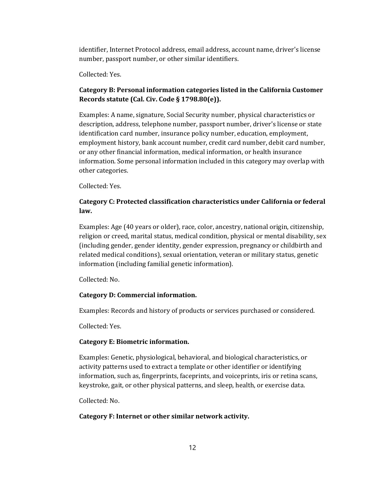identifier, Internet Protocol address, email address, account name, driver's license number, passport number, or other similar identifiers.

Collected: Yes.

# **Category B: Personal information categories listed in the California Customer Records statute (Cal. Civ. Code § 1798.80(e)).**

Examples: A name, signature, Social Security number, physical characteristics or description, address, telephone number, passport number, driver's license or state identification card number, insurance policy number, education, employment, employment history, bank account number, credit card number, debit card number, or any other financial information, medical information, or health insurance information. Some personal information included in this category may overlap with other categories.

Collected: Yes.

# **Category C: Protected classification characteristics under California or federal law.**

Examples: Age (40 years or older), race, color, ancestry, national origin, citizenship, religion or creed, marital status, medical condition, physical or mental disability, sex (including gender, gender identity, gender expression, pregnancy or childbirth and related medical conditions), sexual orientation, veteran or military status, genetic information (including familial genetic information).

Collected: No.

## **Category D: Commercial information.**

Examples: Records and history of products or services purchased or considered.

Collected: Yes.

## **Category E: Biometric information.**

Examples: Genetic, physiological, behavioral, and biological characteristics, or activity patterns used to extract a template or other identifier or identifying information, such as, fingerprints, faceprints, and voiceprints, iris or retina scans, keystroke, gait, or other physical patterns, and sleep, health, or exercise data.

Collected: No.

#### **Category F: Internet or other similar network activity.**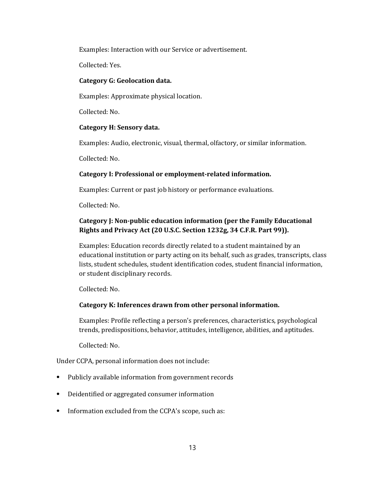Examples: Interaction with our Service or advertisement.

Collected: Yes.

### **Category G: Geolocation data.**

Examples: Approximate physical location.

Collected: No.

## **Category H: Sensory data.**

Examples: Audio, electronic, visual, thermal, olfactory, or similar information.

Collected: No.

## **Category I: Professional or employment‐related information.**

Examples: Current or past job history or performance evaluations.

Collected: No.

# **Category J: Non‐public education information (per the Family Educational Rights and Privacy Act (20 U.S.C. Section 1232g, 34 C.F.R. Part 99)).**

Examples: Education records directly related to a student maintained by an educational institution or party acting on its behalf, such as grades, transcripts, class lists, student schedules, student identification codes, student financial information, or student disciplinary records.

Collected: No.

## **Category K: Inferences drawn from other personal information.**

Examples: Profile reflecting a person's preferences, characteristics, psychological trends, predispositions, behavior, attitudes, intelligence, abilities, and aptitudes.

Collected: No.

Under CCPA, personal information does not include:

- ⦁ Publicly available information from government records
- ⦁ Deidentified or aggregated consumer information
- ⦁ Information excluded from the CCPA's scope, such as: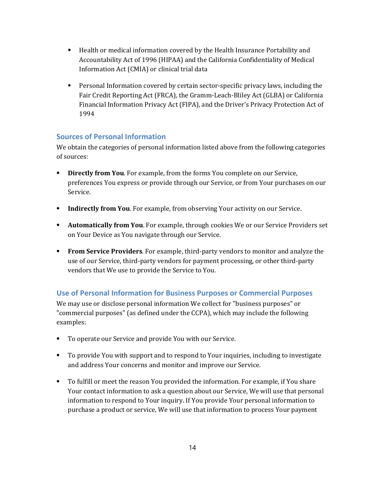- ⦁ Health or medical information covered by the Health Insurance Portability and Accountability Act of 1996 (HIPAA) and the California Confidentiality of Medical Information Act (CMIA) or clinical trial data
- ⦁ Personal Information covered by certain sector-specific privacy laws, including the Fair Credit Reporting Act (FRCA), the Gramm-Leach-Bliley Act (GLBA) or California Financial Information Privacy Act (FIPA), and the Driver's Privacy Protection Act of 1994

# **Sources of Personal Information**

We obtain the categories of personal information listed above from the following categories of sources:

- ⦁ **Directly from You**. For example, from the forms You complete on our Service, preferences You express or provide through our Service, or from Your purchases on our Service.
- ⦁ **Indirectly from You**. For example, from observing Your activity on our Service.
- ⦁ **Automatically from You**. For example, through cookies We or our Service Providers set on Your Device as You navigate through our Service.
- ⦁ **From Service Providers**. For example, third-party vendors to monitor and analyze the use of our Service, third-party vendors for payment processing, or other third-party vendors that We use to provide the Service to You.

# **Use of Personal Information for Business Purposes or Commercial Purposes**

We may use or disclose personal information We collect for "business purposes" or "commercial purposes" (as defined under the CCPA), which may include the following examples:

- ⦁ To operate our Service and provide You with our Service.
- ⦁ To provide You with support and to respond to Your inquiries, including to investigate and address Your concerns and monitor and improve our Service.
- ⦁ To fulfill or meet the reason You provided the information. For example, if You share Your contact information to ask a question about our Service, We will use that personal information to respond to Your inquiry. If You provide Your personal information to purchase a product or service, We will use that information to process Your payment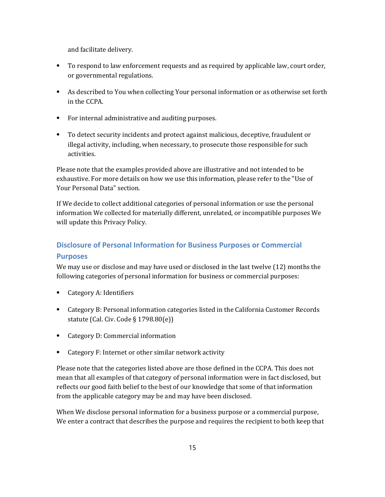and facilitate delivery.

- ⦁ To respond to law enforcement requests and as required by applicable law, court order, or governmental regulations.
- ⦁ As described to You when collecting Your personal information or as otherwise set forth in the CCPA.
- ⦁ For internal administrative and auditing purposes.
- ⦁ To detect security incidents and protect against malicious, deceptive, fraudulent or illegal activity, including, when necessary, to prosecute those responsible for such activities.

Please note that the examples provided above are illustrative and not intended to be exhaustive. For more details on how we use this information, please refer to the "Use of Your Personal Data" section.

If We decide to collect additional categories of personal information or use the personal information We collected for materially different, unrelated, or incompatible purposes We will update this Privacy Policy.

# **Disclosure of Personal Information for Business Purposes or Commercial Purposes**

We may use or disclose and may have used or disclosed in the last twelve (12) months the following categories of personal information for business or commercial purposes:

- ⦁ Category A: Identifiers
- ⦁ Category B: Personal information categories listed in the California Customer Records statute (Cal. Civ. Code § 1798.80(e))
- ⦁ Category D: Commercial information
- ⦁ Category F: Internet or other similar network activity

Please note that the categories listed above are those defined in the CCPA. This does not mean that all examples of that category of personal information were in fact disclosed, but reflects our good faith belief to the best of our knowledge that some of that information from the applicable category may be and may have been disclosed.

When We disclose personal information for a business purpose or a commercial purpose, We enter a contract that describes the purpose and requires the recipient to both keep that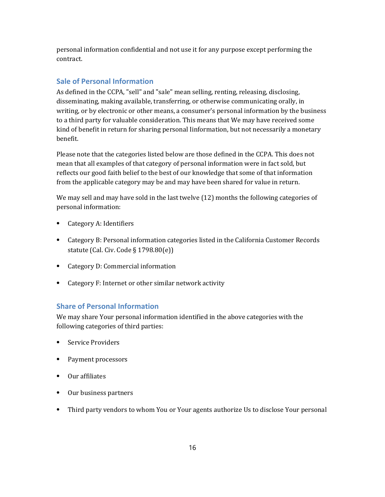personal information confidential and not use it for any purpose except performing the contract.

# **Sale of Personal Information**

As defined in the CCPA, "sell" and "sale" mean selling, renting, releasing, disclosing, disseminating, making available, transferring, or otherwise communicating orally, in writing, or by electronic or other means, a consumer's personal information by the business to a third party for valuable consideration. This means that We may have received some kind of benefit in return for sharing personal Iinformation, but not necessarily a monetary benefit.

Please note that the categories listed below are those defined in the CCPA. This does not mean that all examples of that category of personal information were in fact sold, but reflects our good faith belief to the best of our knowledge that some of that information from the applicable category may be and may have been shared for value in return.

We may sell and may have sold in the last twelve (12) months the following categories of personal information:

- ⦁ Category A: Identifiers
- ⦁ Category B: Personal information categories listed in the California Customer Records statute (Cal. Civ. Code § 1798.80(e))
- ⦁ Category D: Commercial information
- ⦁ Category F: Internet or other similar network activity

# **Share of Personal Information**

We may share Your personal information identified in the above categories with the following categories of third parties:

- ⦁ Service Providers
- ⦁ Payment processors
- ⦁ Our affiliates
- ⦁ Our business partners
- ⦁ Third party vendors to whom You or Your agents authorize Us to disclose Your personal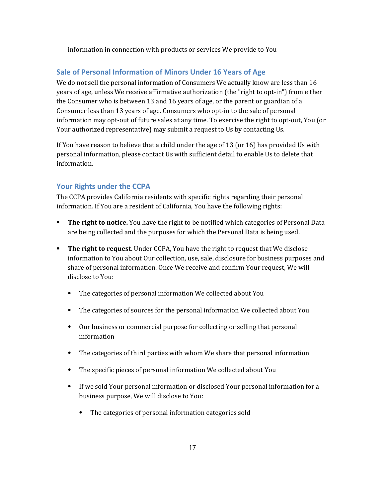information in connection with products or services We provide to You

## **Sale of Personal Information of Minors Under 16 Years of Age**

We do not sell the personal information of Consumers We actually know are less than 16 years of age, unless We receive affirmative authorization (the "right to opt-in") from either the Consumer who is between 13 and 16 years of age, or the parent or guardian of a Consumer less than 13 years of age. Consumers who opt-in to the sale of personal information may opt-out of future sales at any time. To exercise the right to opt-out, You (or Your authorized representative) may submit a request to Us by contacting Us.

If You have reason to believe that a child under the age of 13 (or 16) has provided Us with personal information, please contact Us with sufficient detail to enable Us to delete that information.

# **Your Rights under the CCPA**

The CCPA provides California residents with specific rights regarding their personal information. If You are a resident of California, You have the following rights:

- ⦁ **The right to notice.** You have the right to be notified which categories of Personal Data are being collected and the purposes for which the Personal Data is being used.
- ⦁ **The right to request.** Under CCPA, You have the right to request that We disclose information to You about Our collection, use, sale, disclosure for business purposes and share of personal information. Once We receive and confirm Your request, We will disclose to You:
	- ⦁ The categories of personal information We collected about You
	- ⦁ The categories of sources for the personal information We collected about You
	- ⦁ Our business or commercial purpose for collecting or selling that personal information
	- ⦁ The categories of third parties with whom We share that personal information
	- ⦁ The specific pieces of personal information We collected about You
	- ⦁ If we sold Your personal information or disclosed Your personal information for a business purpose, We will disclose to You:
		- ⦁ The categories of personal information categories sold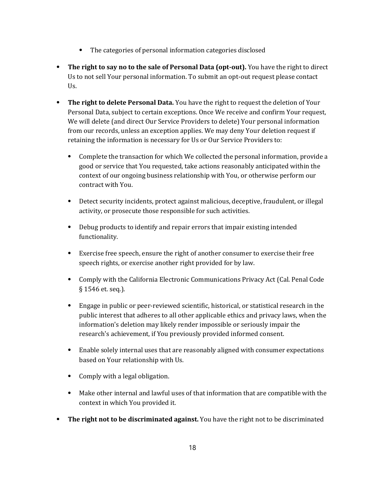- ⦁ The categories of personal information categories disclosed
- ⦁ **The right to say no to the sale of Personal Data (opt‐out).** You have the right to direct Us to not sell Your personal information. To submit an opt-out request please contact Us.
- ⦁ **The right to delete Personal Data.** You have the right to request the deletion of Your Personal Data, subject to certain exceptions. Once We receive and confirm Your request, We will delete (and direct Our Service Providers to delete) Your personal information from our records, unless an exception applies. We may deny Your deletion request if retaining the information is necessary for Us or Our Service Providers to:
	- ⦁ Complete the transaction for which We collected the personal information, provide a good or service that You requested, take actions reasonably anticipated within the context of our ongoing business relationship with You, or otherwise perform our contract with You.
	- ⦁ Detect security incidents, protect against malicious, deceptive, fraudulent, or illegal activity, or prosecute those responsible for such activities.
	- ⦁ Debug products to identify and repair errors that impair existing intended functionality.
	- ⦁ Exercise free speech, ensure the right of another consumer to exercise their free speech rights, or exercise another right provided for by law.
	- ⦁ Comply with the California Electronic Communications Privacy Act (Cal. Penal Code § 1546 et. seq.).
	- ⦁ Engage in public or peer-reviewed scientific, historical, or statistical research in the public interest that adheres to all other applicable ethics and privacy laws, when the information's deletion may likely render impossible or seriously impair the research's achievement, if You previously provided informed consent.
	- ⦁ Enable solely internal uses that are reasonably aligned with consumer expectations based on Your relationship with Us.
	- ⦁ Comply with a legal obligation.
	- ⦁ Make other internal and lawful uses of that information that are compatible with the context in which You provided it.
- ⦁ **The right not to be discriminated against.** You have the right not to be discriminated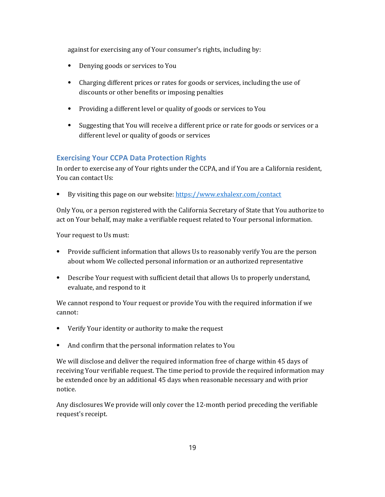against for exercising any of Your consumer's rights, including by:

- ⦁ Denying goods or services to You
- ⦁ Charging different prices or rates for goods or services, including the use of discounts or other benefits or imposing penalties
- ⦁ Providing a different level or quality of goods or services to You
- ⦁ Suggesting that You will receive a different price or rate for goods or services or a different level or quality of goods or services

# **Exercising Your CCPA Data Protection Rights**

In order to exercise any of Your rights under the CCPA, and if You are a California resident, You can contact Us:

• By visiting this page on our website: https://www.exhalexr.com/contact

Only You, or a person registered with the California Secretary of State that You authorize to act on Your behalf, may make a verifiable request related to Your personal information.

Your request to Us must:

- ⦁ Provide sufficient information that allows Us to reasonably verify You are the person about whom We collected personal information or an authorized representative
- ⦁ Describe Your request with sufficient detail that allows Us to properly understand, evaluate, and respond to it

We cannot respond to Your request or provide You with the required information if we cannot:

- ⦁ Verify Your identity or authority to make the request
- ⦁ And confirm that the personal information relates to You

We will disclose and deliver the required information free of charge within 45 days of receiving Your verifiable request. The time period to provide the required information may be extended once by an additional 45 days when reasonable necessary and with prior notice.

Any disclosures We provide will only cover the 12-month period preceding the verifiable request's receipt.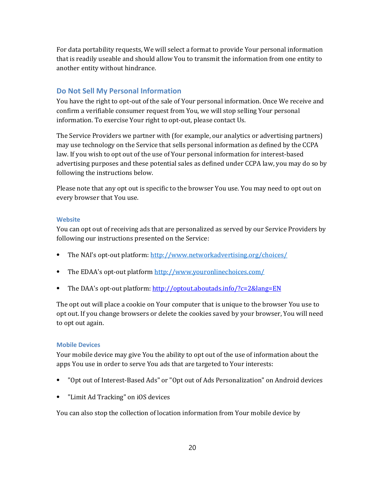For data portability requests, We will select a format to provide Your personal information that is readily useable and should allow You to transmit the information from one entity to another entity without hindrance.

# **Do Not Sell My Personal Information**

You have the right to opt-out of the sale of Your personal information. Once We receive and confirm a verifiable consumer request from You, we will stop selling Your personal information. To exercise Your right to opt-out, please contact Us.

The Service Providers we partner with (for example, our analytics or advertising partners) may use technology on the Service that sells personal information as defined by the CCPA law. If you wish to opt out of the use of Your personal information for interest-based advertising purposes and these potential sales as defined under CCPA law, you may do so by following the instructions below.

Please note that any opt out is specific to the browser You use. You may need to opt out on every browser that You use.

## **Website**

You can opt out of receiving ads that are personalized as served by our Service Providers by following our instructions presented on the Service:

- The NAI's opt-out platform: http://www.networkadvertising.org/choices/
- The EDAA's opt-out platform http://www.youronlinechoices.com/
- The DAA's opt-out platform: http://optout.aboutads.info/?c=2&lang=EN

The opt out will place a cookie on Your computer that is unique to the browser You use to opt out. If you change browsers or delete the cookies saved by your browser, You will need to opt out again.

#### **Mobile Devices**

Your mobile device may give You the ability to opt out of the use of information about the apps You use in order to serve You ads that are targeted to Your interests:

- ⦁ "Opt out of Interest-Based Ads" or "Opt out of Ads Personalization" on Android devices
- ⦁ "Limit Ad Tracking" on iOS devices

You can also stop the collection of location information from Your mobile device by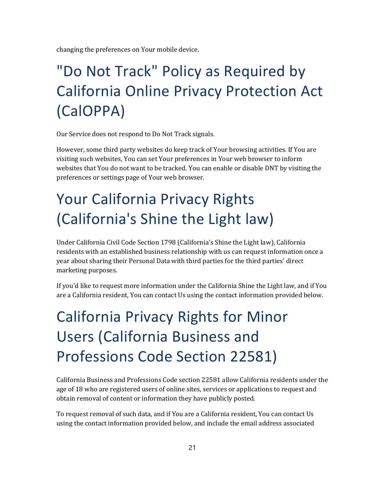changing the preferences on Your mobile device.

# "Do Not Track" Policy as Required by California Online Privacy Protection Act (CalOPPA)

Our Service does not respond to Do Not Track signals.

However, some third party websites do keep track of Your browsing activities. If You are visiting such websites, You can set Your preferences in Your web browser to inform websites that You do not want to be tracked. You can enable or disable DNT by visiting the preferences or settings page of Your web browser.

# Your California Privacy Rights (California's Shine the Light law)

Under California Civil Code Section 1798 (California's Shine the Light law), California residents with an established business relationship with us can request information once a year about sharing their Personal Data with third parties for the third parties' direct marketing purposes.

If you'd like to request more information under the California Shine the Light law, and if You are a California resident, You can contact Us using the contact information provided below.

# California Privacy Rights for Minor Users (California Business and Professions Code Section 22581)

California Business and Professions Code section 22581 allow California residents under the age of 18 who are registered users of online sites, services or applications to request and obtain removal of content or information they have publicly posted.

To request removal of such data, and if You are a California resident, You can contact Us using the contact information provided below, and include the email address associated